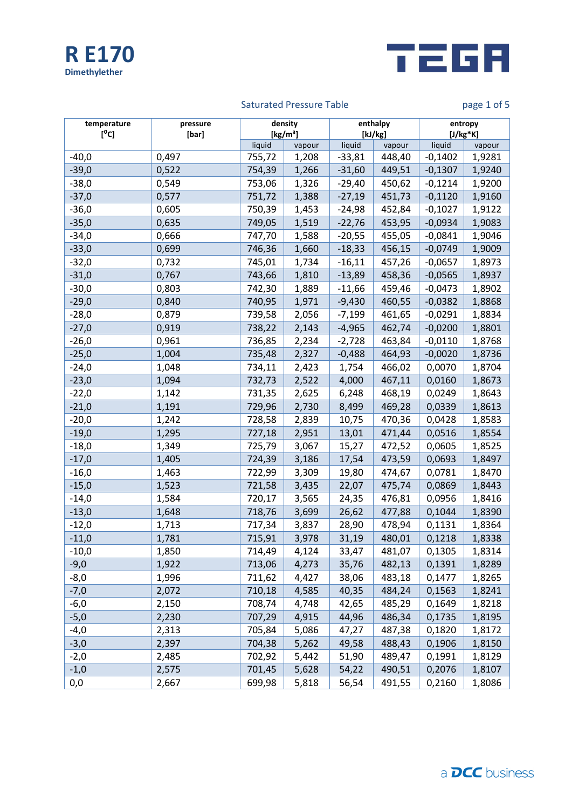



# Saturated Pressure Table **page 1 of 5** and page 1 of 5

| temperature<br>[°c] | pressure<br>[bar] | density<br>[kg/m <sup>3</sup> ] |        | enthalpy<br>[kJ/kg] |        | entropy<br>$[J/kg*K]$ |        |
|---------------------|-------------------|---------------------------------|--------|---------------------|--------|-----------------------|--------|
|                     |                   | liquid                          | vapour | liquid              | vapour | liquid                | vapour |
| $-40,0$             | 0,497             | 755,72                          | 1,208  | $-33,81$            | 448,40 | $-0,1402$             | 1,9281 |
| $-39,0$             | 0,522             | 754,39                          | 1,266  | $-31,60$            | 449,51 | $-0,1307$             | 1,9240 |
| $-38,0$             | 0,549             | 753,06                          | 1,326  | $-29,40$            | 450,62 | $-0,1214$             | 1,9200 |
| $-37,0$             | 0,577             | 751,72                          | 1,388  | $-27,19$            | 451,73 | $-0,1120$             | 1,9160 |
| $-36,0$             | 0,605             | 750,39                          | 1,453  | $-24,98$            | 452,84 | $-0,1027$             | 1,9122 |
| $-35,0$             | 0,635             | 749,05                          | 1,519  | $-22,76$            | 453,95 | $-0,0934$             | 1,9083 |
| $-34,0$             | 0,666             | 747,70                          | 1,588  | $-20,55$            | 455,05 | $-0,0841$             | 1,9046 |
| $-33,0$             | 0,699             | 746,36                          | 1,660  | $-18,33$            | 456,15 | $-0,0749$             | 1,9009 |
| $-32,0$             | 0,732             | 745,01                          | 1,734  | $-16,11$            | 457,26 | $-0,0657$             | 1,8973 |
| $-31,0$             | 0,767             | 743,66                          | 1,810  | $-13,89$            | 458,36 | $-0,0565$             | 1,8937 |
| $-30,0$             | 0,803             | 742,30                          | 1,889  | $-11,66$            | 459,46 | $-0,0473$             | 1,8902 |
| $-29,0$             | 0,840             | 740,95                          | 1,971  | $-9,430$            | 460,55 | $-0,0382$             | 1,8868 |
| $-28,0$             | 0,879             | 739,58                          | 2,056  | $-7,199$            | 461,65 | $-0,0291$             | 1,8834 |
| $-27,0$             | 0,919             | 738,22                          | 2,143  | $-4,965$            | 462,74 | $-0,0200$             | 1,8801 |
| $-26,0$             | 0,961             | 736,85                          | 2,234  | $-2,728$            | 463,84 | $-0,0110$             | 1,8768 |
| $-25,0$             | 1,004             | 735,48                          | 2,327  | $-0,488$            | 464,93 | $-0,0020$             | 1,8736 |
| $-24,0$             | 1,048             | 734,11                          | 2,423  | 1,754               | 466,02 | 0,0070                | 1,8704 |
| $-23,0$             | 1,094             | 732,73                          | 2,522  | 4,000               | 467,11 | 0,0160                | 1,8673 |
| $-22,0$             | 1,142             | 731,35                          | 2,625  | 6,248               | 468,19 | 0,0249                | 1,8643 |
| $-21,0$             | 1,191             | 729,96                          | 2,730  | 8,499               | 469,28 | 0,0339                | 1,8613 |
| $-20,0$             | 1,242             | 728,58                          | 2,839  | 10,75               | 470,36 | 0,0428                | 1,8583 |
| $-19,0$             | 1,295             | 727,18                          | 2,951  | 13,01               | 471,44 | 0,0516                | 1,8554 |
| $-18,0$             | 1,349             | 725,79                          | 3,067  | 15,27               | 472,52 | 0,0605                | 1,8525 |
| $-17,0$             | 1,405             | 724,39                          | 3,186  | 17,54               | 473,59 | 0,0693                | 1,8497 |
| $-16,0$             | 1,463             | 722,99                          | 3,309  | 19,80               | 474,67 | 0,0781                | 1,8470 |
| $-15,0$             | 1,523             | 721,58                          | 3,435  | 22,07               | 475,74 | 0,0869                | 1,8443 |
| $-14,0$             | 1,584             | 720,17                          | 3,565  | 24,35               | 476,81 | 0,0956                | 1,8416 |
| $-13,0$             | 1,648             | 718,76                          | 3,699  | 26,62               | 477,88 | 0,1044                | 1,8390 |
| $-12,0$             | 1,713             | 717,34                          | 3,837  | 28,90               | 478,94 | 0,1131                | 1,8364 |
| $-11,0$             | 1,781             | 715,91                          | 3,978  | 31,19               | 480,01 | 0,1218                | 1,8338 |
| $-10,0$             | 1,850             | 714,49                          | 4,124  | 33,47               | 481,07 | 0,1305                | 1,8314 |
| $-9,0$              | 1,922             | 713,06                          | 4,273  | 35,76               | 482,13 | 0,1391                | 1,8289 |
| $-8,0$              | 1,996             | 711,62                          | 4,427  | 38,06               | 483,18 | 0,1477                | 1,8265 |
| $-7,0$              | 2,072             | 710,18                          | 4,585  | 40,35               | 484,24 | 0,1563                | 1,8241 |
| -6,0                | 2,150             | 708,74                          | 4,748  | 42,65               | 485,29 | 0,1649                | 1,8218 |
| $-5,0$              | 2,230             | 707,29                          | 4,915  | 44,96               | 486,34 | 0,1735                | 1,8195 |
| $-4,0$              | 2,313             | 705,84                          | 5,086  | 47,27               | 487,38 | 0,1820                | 1,8172 |
| $-3,0$              | 2,397             | 704,38                          | 5,262  | 49,58               | 488,43 | 0,1906                | 1,8150 |
| $-2,0$              | 2,485             | 702,92                          | 5,442  | 51,90               | 489,47 | 0,1991                | 1,8129 |
| $-1,0$              | 2,575             | 701,45                          | 5,628  | 54,22               | 490,51 | 0,2076                | 1,8107 |
| 0,0                 | 2,667             | 699,98                          | 5,818  | 56,54               | 491,55 | 0,2160                | 1,8086 |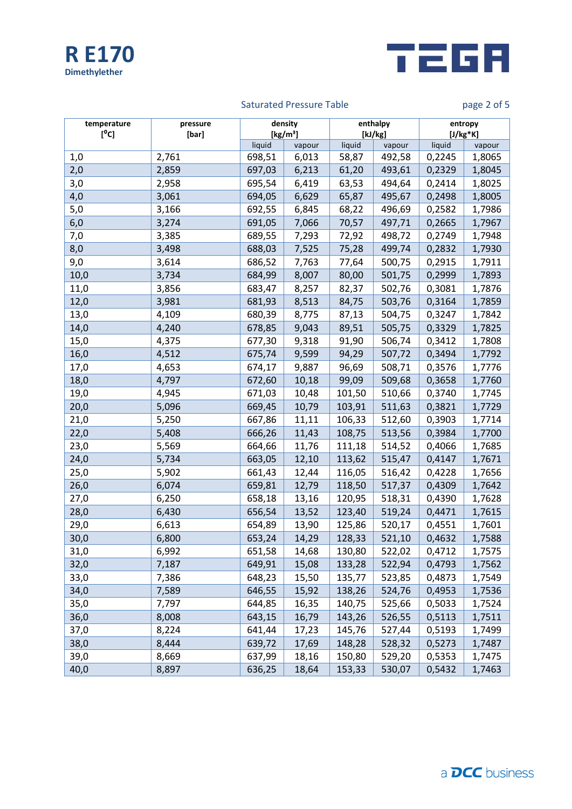



# Saturated Pressure Table **page 2 of 5** and page 2 of 5

| temperature<br>[°c] | pressure<br>[bar] | density<br>[kg/m <sup>3</sup> ] |        | enthalpy<br>[kJ/kg] |        | entropy<br>$[J/kg*K]$ |        |
|---------------------|-------------------|---------------------------------|--------|---------------------|--------|-----------------------|--------|
|                     |                   | liquid                          | vapour | liquid              | vapour | liquid                | vapour |
| 1,0                 | 2,761             | 698,51                          | 6,013  | 58,87               | 492,58 | 0,2245                | 1,8065 |
| 2,0                 | 2,859             | 697,03                          | 6,213  | 61,20               | 493,61 | 0,2329                | 1,8045 |
| 3,0                 | 2,958             | 695,54                          | 6,419  | 63,53               | 494,64 | 0,2414                | 1,8025 |
| 4,0                 | 3,061             | 694,05                          | 6,629  | 65,87               | 495,67 | 0,2498                | 1,8005 |
| 5,0                 | 3,166             | 692,55                          | 6,845  | 68,22               | 496,69 | 0,2582                | 1,7986 |
| 6,0                 | 3,274             | 691,05                          | 7,066  | 70,57               | 497,71 | 0,2665                | 1,7967 |
| 7,0                 | 3,385             | 689,55                          | 7,293  | 72,92               | 498,72 | 0,2749                | 1,7948 |
| 8,0                 | 3,498             | 688,03                          | 7,525  | 75,28               | 499,74 | 0,2832                | 1,7930 |
| 9,0                 | 3,614             | 686,52                          | 7,763  | 77,64               | 500,75 | 0,2915                | 1,7911 |
| 10,0                | 3,734             | 684,99                          | 8,007  | 80,00               | 501,75 | 0,2999                | 1,7893 |
| 11,0                | 3,856             | 683,47                          | 8,257  | 82,37               | 502,76 | 0,3081                | 1,7876 |
| 12,0                | 3,981             | 681,93                          | 8,513  | 84,75               | 503,76 | 0,3164                | 1,7859 |
| 13,0                | 4,109             | 680,39                          | 8,775  | 87,13               | 504,75 | 0,3247                | 1,7842 |
| 14,0                | 4,240             | 678,85                          | 9,043  | 89,51               | 505,75 | 0,3329                | 1,7825 |
| 15,0                | 4,375             | 677,30                          | 9,318  | 91,90               | 506,74 | 0,3412                | 1,7808 |
| 16,0                | 4,512             | 675,74                          | 9,599  | 94,29               | 507,72 | 0,3494                | 1,7792 |
| 17,0                | 4,653             | 674,17                          | 9,887  | 96,69               | 508,71 | 0,3576                | 1,7776 |
| 18,0                | 4,797             | 672,60                          | 10,18  | 99,09               | 509,68 | 0,3658                | 1,7760 |
| 19,0                | 4,945             | 671,03                          | 10,48  | 101,50              | 510,66 | 0,3740                | 1,7745 |
| 20,0                | 5,096             | 669,45                          | 10,79  | 103,91              | 511,63 | 0,3821                | 1,7729 |
| 21,0                | 5,250             | 667,86                          | 11,11  | 106,33              | 512,60 | 0,3903                | 1,7714 |
| 22,0                | 5,408             | 666,26                          | 11,43  | 108,75              | 513,56 | 0,3984                | 1,7700 |
| 23,0                | 5,569             | 664,66                          | 11,76  | 111,18              | 514,52 | 0,4066                | 1,7685 |
| 24,0                | 5,734             | 663,05                          | 12,10  | 113,62              | 515,47 | 0,4147                | 1,7671 |
| 25,0                | 5,902             | 661,43                          | 12,44  | 116,05              | 516,42 | 0,4228                | 1,7656 |
| 26,0                | 6,074             | 659,81                          | 12,79  | 118,50              | 517,37 | 0,4309                | 1,7642 |
| 27,0                | 6,250             | 658,18                          | 13,16  | 120,95              | 518,31 | 0,4390                | 1,7628 |
| 28,0                | 6,430             | 656,54                          | 13,52  | 123,40              | 519,24 | 0,4471                | 1,7615 |
| 29,0                | 6,613             | 654,89                          | 13,90  | 125,86              | 520,17 | 0,4551                | 1,7601 |
| 30,0                | 6,800             | 653,24                          | 14,29  | 128,33              | 521,10 | 0,4632                | 1,7588 |
| 31,0                | 6,992             | 651,58                          | 14,68  | 130,80              | 522,02 | 0,4712                | 1,7575 |
| 32,0                | 7,187             | 649,91                          | 15,08  | 133,28              | 522,94 | 0,4793                | 1,7562 |
| 33,0                | 7,386             | 648,23                          | 15,50  | 135,77              | 523,85 | 0,4873                | 1,7549 |
| 34,0                | 7,589             | 646,55                          | 15,92  | 138,26              | 524,76 | 0,4953                | 1,7536 |
| 35,0                | 7,797             | 644,85                          | 16,35  | 140,75              | 525,66 | 0,5033                | 1,7524 |
| 36,0                | 8,008             | 643,15                          | 16,79  | 143,26              | 526,55 | 0,5113                | 1,7511 |
| 37,0                | 8,224             | 641,44                          | 17,23  | 145,76              | 527,44 | 0,5193                | 1,7499 |
| 38,0                | 8,444             | 639,72                          | 17,69  | 148,28              | 528,32 | 0,5273                | 1,7487 |
| 39,0                | 8,669             | 637,99                          | 18,16  | 150,80              | 529,20 | 0,5353                | 1,7475 |
| 40,0                | 8,897             | 636,25                          | 18,64  | 153,33              | 530,07 | 0,5432                | 1,7463 |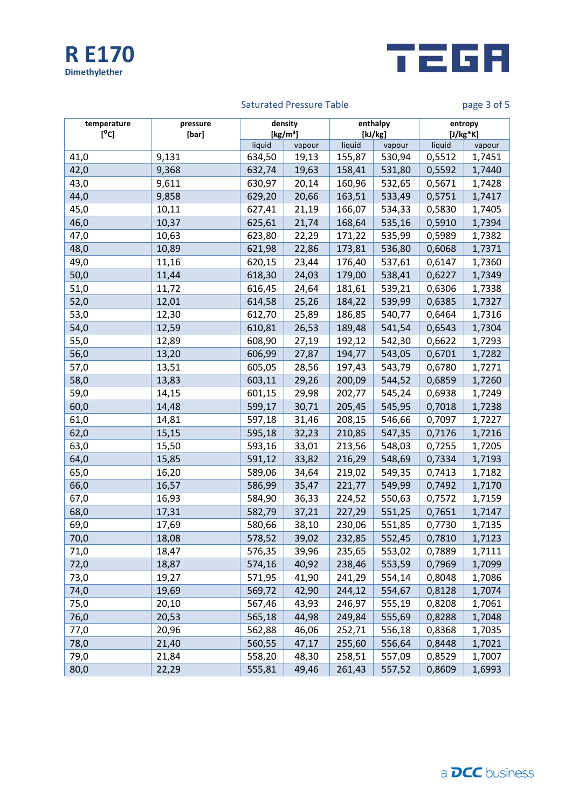



# Saturated Pressure Table **page 3 of 5** and page 3 of 5

| temperature<br>[°C] | pressure<br>[bar] | density<br>[kg/m <sup>3</sup> ] |        | enthalpy<br>[kJ/kg] |        | entropy<br>$[J/kg*K]$ |        |
|---------------------|-------------------|---------------------------------|--------|---------------------|--------|-----------------------|--------|
|                     |                   | liquid                          | vapour | liquid              | vapour | liquid                | vapour |
| 41,0                | 9,131             | 634,50                          | 19,13  | 155,87              | 530,94 | 0,5512                | 1,7451 |
| 42,0                | 9,368             | 632,74                          | 19,63  | 158,41              | 531,80 | 0,5592                | 1,7440 |
| 43,0                | 9,611             | 630,97                          | 20,14  | 160,96              | 532,65 | 0,5671                | 1,7428 |
| 44,0                | 9,858             | 629,20                          | 20,66  | 163,51              | 533,49 | 0,5751                | 1,7417 |
| 45,0                | 10,11             | 627,41                          | 21,19  | 166,07              | 534,33 | 0,5830                | 1,7405 |
| 46,0                | 10,37             | 625,61                          | 21,74  | 168,64              | 535,16 | 0,5910                | 1,7394 |
| 47,0                | 10,63             | 623,80                          | 22,29  | 171,22              | 535,99 | 0,5989                | 1,7382 |
| 48,0                | 10,89             | 621,98                          | 22,86  | 173,81              | 536,80 | 0,6068                | 1,7371 |
| 49,0                | 11,16             | 620,15                          | 23,44  | 176,40              | 537,61 | 0,6147                | 1,7360 |
| 50,0                | 11,44             | 618,30                          | 24,03  | 179,00              | 538,41 | 0,6227                | 1,7349 |
| 51,0                | 11,72             | 616,45                          | 24,64  | 181,61              | 539,21 | 0,6306                | 1,7338 |
| 52,0                | 12,01             | 614,58                          | 25,26  | 184,22              | 539,99 | 0,6385                | 1,7327 |
| 53,0                | 12,30             | 612,70                          | 25,89  | 186,85              | 540,77 | 0,6464                | 1,7316 |
| 54,0                | 12,59             | 610,81                          | 26,53  | 189,48              | 541,54 | 0,6543                | 1,7304 |
| 55,0                | 12,89             | 608,90                          | 27,19  | 192,12              | 542,30 | 0,6622                | 1,7293 |
| 56,0                | 13,20             | 606,99                          | 27,87  | 194,77              | 543,05 | 0,6701                | 1,7282 |
| 57,0                | 13,51             | 605,05                          | 28,56  | 197,43              | 543,79 | 0,6780                | 1,7271 |
| 58,0                | 13,83             | 603,11                          | 29,26  | 200,09              | 544,52 | 0,6859                | 1,7260 |
| 59,0                | 14,15             | 601,15                          | 29,98  | 202,77              | 545,24 | 0,6938                | 1,7249 |
| 60,0                | 14,48             | 599,17                          | 30,71  | 205,45              | 545,95 | 0,7018                | 1,7238 |
| 61,0                | 14,81             | 597,18                          | 31,46  | 208,15              | 546,66 | 0,7097                | 1,7227 |
| 62,0                | 15,15             | 595,18                          | 32,23  | 210,85              | 547,35 | 0,7176                | 1,7216 |
| 63,0                | 15,50             | 593,16                          | 33,01  | 213,56              | 548,03 | 0,7255                | 1,7205 |
| 64,0                | 15,85             | 591,12                          | 33,82  | 216,29              | 548,69 | 0,7334                | 1,7193 |
| 65,0                | 16,20             | 589,06                          | 34,64  | 219,02              | 549,35 | 0,7413                | 1,7182 |
| 66,0                | 16,57             | 586,99                          | 35,47  | 221,77              | 549,99 | 0,7492                | 1,7170 |
| 67,0                | 16,93             | 584,90                          | 36,33  | 224,52              | 550,63 | 0,7572                | 1,7159 |
| 68,0                | 17,31             | 582,79                          | 37,21  | 227,29              | 551,25 | 0,7651                | 1,7147 |
| 69,0                | 17,69             | 580,66                          | 38,10  | 230,06              | 551,85 | 0,7730                | 1,7135 |
| 70,0                | 18,08             | 578,52                          | 39,02  | 232,85              | 552,45 | 0,7810                | 1,7123 |
| 71,0                | 18,47             | 576,35                          | 39,96  | 235,65              | 553,02 | 0,7889                | 1,7111 |
| 72,0                | 18,87             | 574,16                          | 40,92  | 238,46              | 553,59 | 0,7969                | 1,7099 |
| 73,0                | 19,27             | 571,95                          | 41,90  | 241,29              | 554,14 | 0,8048                | 1,7086 |
| 74,0                | 19,69             | 569,72                          | 42,90  | 244,12              | 554,67 | 0,8128                | 1,7074 |
| 75,0                | 20,10             | 567,46                          | 43,93  | 246,97              | 555,19 | 0,8208                | 1,7061 |
| 76,0                | 20,53             | 565,18                          | 44,98  | 249,84              | 555,69 | 0,8288                | 1,7048 |
| 77,0                | 20,96             | 562,88                          | 46,06  | 252,71              | 556,18 | 0,8368                | 1,7035 |
| 78,0                | 21,40             | 560,55                          | 47,17  | 255,60              | 556,64 | 0,8448                | 1,7021 |
| 79,0                | 21,84             | 558,20                          | 48,30  | 258,51              | 557,09 | 0,8529                | 1,7007 |
| 80,0                | 22,29             | 555,81                          | 49,46  | 261,43              | 557,52 | 0,8609                | 1,6993 |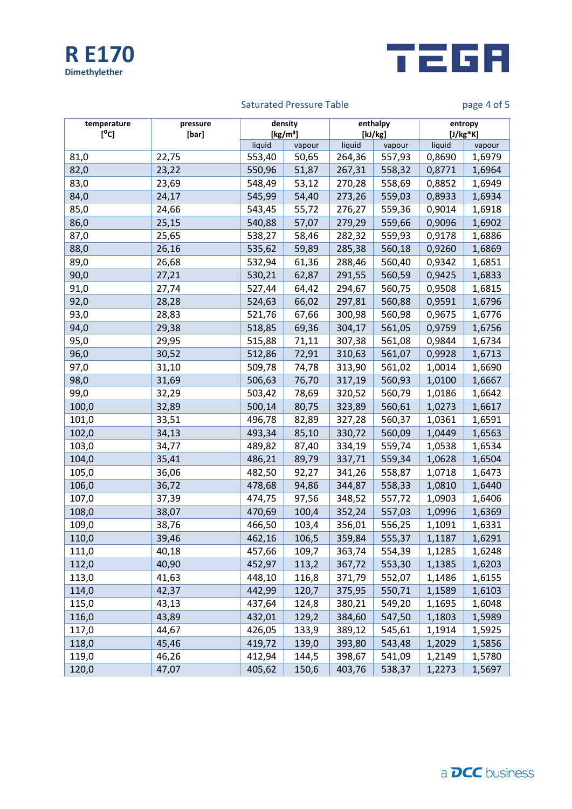



# Saturated Pressure Table **page 4 of 5**

| temperature<br>[°C] | pressure<br>[bar] | density<br>[kg/m <sup>3</sup> ] |        | enthalpy<br>[kJ/kg] |        | entropy<br>$[J/kg*K]$ |        |
|---------------------|-------------------|---------------------------------|--------|---------------------|--------|-----------------------|--------|
|                     |                   | liquid                          | vapour | liquid              | vapour | liquid                | vapour |
| 81,0                | 22,75             | 553,40                          | 50,65  | 264,36              | 557,93 | 0,8690                | 1,6979 |
| 82,0                | 23,22             | 550,96                          | 51,87  | 267,31              | 558,32 | 0,8771                | 1,6964 |
| 83,0                | 23,69             | 548,49                          | 53,12  | 270,28              | 558,69 | 0,8852                | 1,6949 |
| 84,0                | 24,17             | 545,99                          | 54,40  | 273,26              | 559,03 | 0,8933                | 1,6934 |
| 85,0                | 24,66             | 543,45                          | 55,72  | 276,27              | 559,36 | 0,9014                | 1,6918 |
| 86,0                | 25,15             | 540,88                          | 57,07  | 279,29              | 559,66 | 0,9096                | 1,6902 |
| 87,0                | 25,65             | 538,27                          | 58,46  | 282,32              | 559,93 | 0,9178                | 1,6886 |
| 88,0                | 26,16             | 535,62                          | 59,89  | 285,38              | 560,18 | 0,9260                | 1,6869 |
| 89,0                | 26,68             | 532,94                          | 61,36  | 288,46              | 560,40 | 0,9342                | 1,6851 |
| 90,0                | 27,21             | 530,21                          | 62,87  | 291,55              | 560,59 | 0,9425                | 1,6833 |
| 91,0                | 27,74             | 527,44                          | 64,42  | 294,67              | 560,75 | 0,9508                | 1,6815 |
| 92,0                | 28,28             | 524,63                          | 66,02  | 297,81              | 560,88 | 0,9591                | 1,6796 |
| 93,0                | 28,83             | 521,76                          | 67,66  | 300,98              | 560,98 | 0,9675                | 1,6776 |
| 94,0                | 29,38             | 518,85                          | 69,36  | 304,17              | 561,05 | 0,9759                | 1,6756 |
| 95,0                | 29,95             | 515,88                          | 71,11  | 307,38              | 561,08 | 0,9844                | 1,6734 |
| 96,0                | 30,52             | 512,86                          | 72,91  | 310,63              | 561,07 | 0,9928                | 1,6713 |
| 97,0                | 31,10             | 509,78                          | 74,78  | 313,90              | 561,02 | 1,0014                | 1,6690 |
| 98,0                | 31,69             | 506,63                          | 76,70  | 317,19              | 560,93 | 1,0100                | 1,6667 |
| 99,0                | 32,29             | 503,42                          | 78,69  | 320,52              | 560,79 | 1,0186                | 1,6642 |
| 100,0               | 32,89             | 500,14                          | 80,75  | 323,89              | 560,61 | 1,0273                | 1,6617 |
| 101,0               | 33,51             | 496,78                          | 82,89  | 327,28              | 560,37 | 1,0361                | 1,6591 |
| 102,0               | 34,13             | 493,34                          | 85,10  | 330,72              | 560,09 | 1,0449                | 1,6563 |
| 103,0               | 34,77             | 489,82                          | 87,40  | 334,19              | 559,74 | 1,0538                | 1,6534 |
| 104,0               | 35,41             | 486,21                          | 89,79  | 337,71              | 559,34 | 1,0628                | 1,6504 |
| 105,0               | 36,06             | 482,50                          | 92,27  | 341,26              | 558,87 | 1,0718                | 1,6473 |
| 106,0               | 36,72             | 478,68                          | 94,86  | 344,87              | 558,33 | 1,0810                | 1,6440 |
| 107,0               | 37,39             | 474,75                          | 97,56  | 348,52              | 557,72 | 1,0903                | 1,6406 |
| 108,0               | 38,07             | 470,69                          | 100,4  | 352,24              | 557,03 | 1,0996                | 1,6369 |
| 109,0               | 38,76             | 466,50                          | 103,4  | 356,01              | 556,25 | 1,1091                | 1,6331 |
| 110,0               | 39,46             | 462,16                          | 106,5  | 359,84              | 555,37 | 1,1187                | 1,6291 |
| 111,0               | 40,18             | 457,66                          | 109,7  | 363,74              | 554,39 | 1,1285                | 1,6248 |
| 112,0               | 40,90             | 452,97                          | 113,2  | 367,72              | 553,30 | 1,1385                | 1,6203 |
| 113,0               | 41,63             | 448,10                          | 116,8  | 371,79              | 552,07 | 1,1486                | 1,6155 |
| 114,0               | 42,37             | 442,99                          | 120,7  | 375,95              | 550,71 | 1,1589                | 1,6103 |
| 115,0               | 43,13             | 437,64                          | 124,8  | 380,21              | 549,20 | 1,1695                | 1,6048 |
| 116,0               | 43,89             | 432,01                          | 129,2  | 384,60              | 547,50 | 1,1803                | 1,5989 |
| 117,0               | 44,67             | 426,05                          | 133,9  | 389,12              | 545,61 | 1,1914                | 1,5925 |
| 118,0               | 45,46             | 419,72                          | 139,0  | 393,80              | 543,48 | 1,2029                | 1,5856 |
| 119,0               | 46,26             | 412,94                          | 144,5  | 398,67              | 541,09 | 1,2149                | 1,5780 |
| 120,0               | 47,07             | 405,62                          | 150,6  | 403,76              | 538,37 | 1,2273                | 1,5697 |